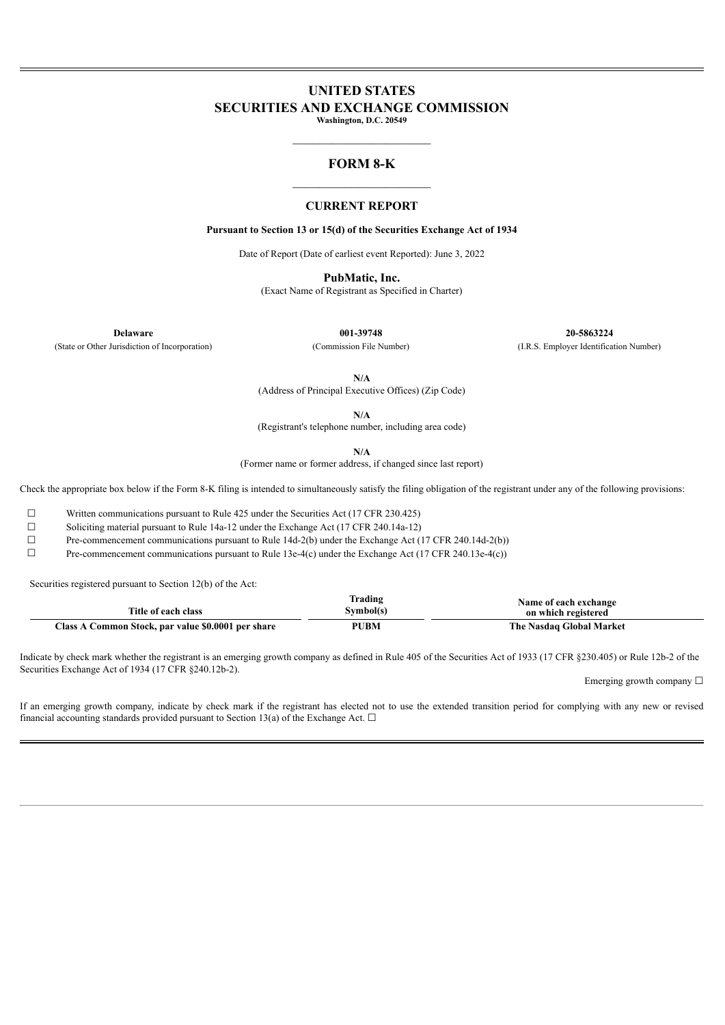### **UNITED STATES SECURITIES AND EXCHANGE COMMISSION Washington, D.C. 20549**

 $\overline{\phantom{a}}$  , where  $\overline{\phantom{a}}$ 

### **FORM 8-K**  $\mathcal{L}_\text{max}$  and  $\mathcal{L}_\text{max}$  and  $\mathcal{L}_\text{max}$

### **CURRENT REPORT**

**Pursuant to Section 13 or 15(d) of the Securities Exchange Act of 1934**

Date of Report (Date of earliest event Reported): June 3, 2022

**PubMatic, Inc.**

(Exact Name of Registrant as Specified in Charter)

(State or Other Jurisdiction of Incorporation) (Commission File Number) (I.R.S. Employer Identification Number)

**Delaware 001-39748 20-5863224**

**N/A**

(Address of Principal Executive Offices) (Zip Code)

**N/A**

(Registrant's telephone number, including area code)

**N/A**

(Former name or former address, if changed since last report)

Check the appropriate box below if the Form 8-K filing is intended to simultaneously satisfy the filing obligation of the registrant under any of the following provisions:

☐ Written communications pursuant to Rule 425 under the Securities Act (17 CFR 230.425)

☐ Soliciting material pursuant to Rule 14a-12 under the Exchange Act (17 CFR 240.14a-12)

 $\Box$  Pre-commencement communications pursuant to Rule 14d-2(b) under the Exchange Act (17 CFR 240.14d-2(b))

 $\Box$  Pre-commencement communications pursuant to Rule 13e-4(c) under the Exchange Act (17 CFR 240.13e-4(c))

Securities registered pursuant to Section 12(b) of the Act:

| Title of each class                                | Frading<br>`vmbol(s) | Name of each exchange<br>on which registered |
|----------------------------------------------------|----------------------|----------------------------------------------|
| Class A Common Stock, par value \$0.0001 per share | <b>PUBM</b>          | The Nasdaq Global Market                     |

Indicate by check mark whether the registrant is an emerging growth company as defined in Rule 405 of the Securities Act of 1933 (17 CFR §230.405) or Rule 12b-2 of the Securities Exchange Act of 1934 (17 CFR §240.12b-2).

Emerging growth company  $\Box$ 

If an emerging growth company, indicate by check mark if the registrant has elected not to use the extended transition period for complying with any new or revised financial accounting standards provided pursuant to Section 13(a) of the Exchange Act.  $\Box$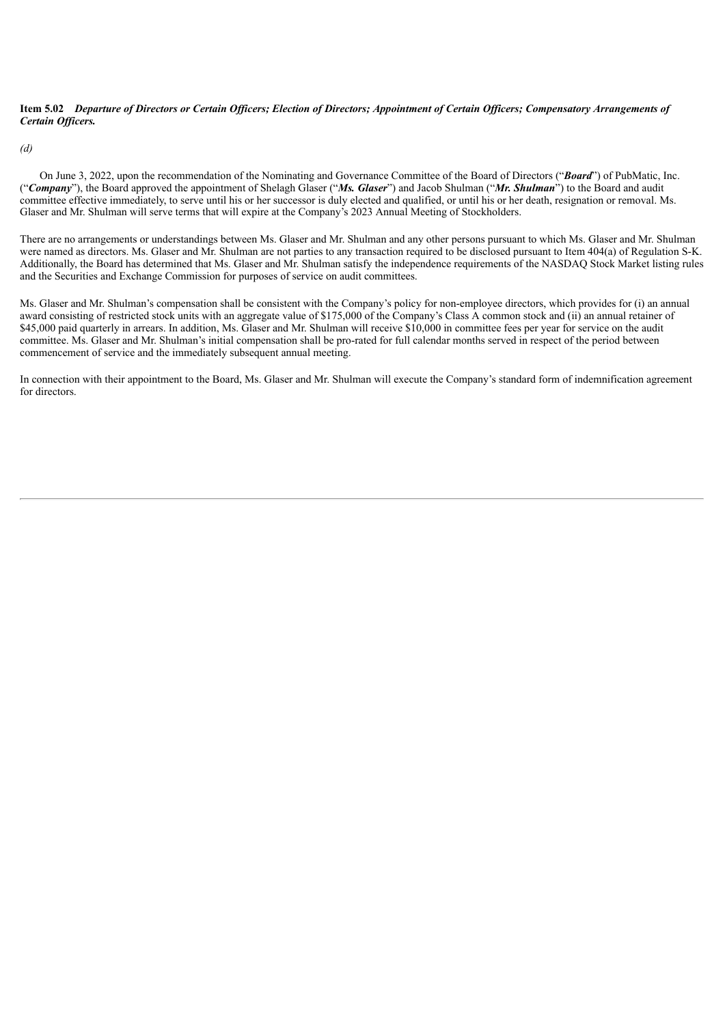#### Item 5.02 Departure of Directors or Certain Officers; Election of Directors; Appointment of Certain Officers; Compensatory Arrangements of *Certain Of icers.*

*(d)*

On June 3, 2022, upon the recommendation of the Nominating and Governance Committee of the Board of Directors ("*Board*") of PubMatic, Inc. ("*Company*"), the Board approved the appointment of Shelagh Glaser ("*Ms. Glaser*") and Jacob Shulman ("*Mr. Shulman*") to the Board and audit committee effective immediately, to serve until his or her successor is duly elected and qualified, or until his or her death, resignation or removal. Ms. Glaser and Mr. Shulman will serve terms that will expire at the Company's 2023 Annual Meeting of Stockholders.

There are no arrangements or understandings between Ms. Glaser and Mr. Shulman and any other persons pursuant to which Ms. Glaser and Mr. Shulman were named as directors. Ms. Glaser and Mr. Shulman are not parties to any transaction required to be disclosed pursuant to Item 404(a) of Regulation S-K. Additionally, the Board has determined that Ms. Glaser and Mr. Shulman satisfy the independence requirements of the NASDAQ Stock Market listing rules and the Securities and Exchange Commission for purposes of service on audit committees.

Ms. Glaser and Mr. Shulman's compensation shall be consistent with the Company's policy for non-employee directors, which provides for (i) an annual award consisting of restricted stock units with an aggregate value of \$175,000 of the Company's Class A common stock and (ii) an annual retainer of \$45,000 paid quarterly in arrears. In addition, Ms. Glaser and Mr. Shulman will receive \$10,000 in committee fees per year for service on the audit committee. Ms. Glaser and Mr. Shulman's initial compensation shall be pro-rated for full calendar months served in respect of the period between commencement of service and the immediately subsequent annual meeting.

In connection with their appointment to the Board, Ms. Glaser and Mr. Shulman will execute the Company's standard form of indemnification agreement for directors.